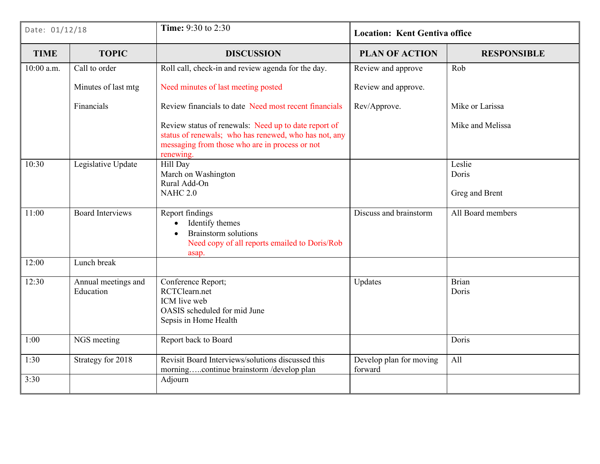| Date: 01/12/18 |                                  | Time: 9:30 to 2:30                                                                                                                                                           | <b>Location: Kent Gentiva office</b> |                                   |
|----------------|----------------------------------|------------------------------------------------------------------------------------------------------------------------------------------------------------------------------|--------------------------------------|-----------------------------------|
| <b>TIME</b>    | <b>TOPIC</b>                     | <b>DISCUSSION</b>                                                                                                                                                            | <b>PLAN OF ACTION</b>                | <b>RESPONSIBLE</b>                |
| $10:00$ a.m.   | Call to order                    | Roll call, check-in and review agenda for the day.                                                                                                                           | Review and approve                   | Rob                               |
|                | Minutes of last mtg              | Need minutes of last meeting posted                                                                                                                                          | Review and approve.                  |                                   |
|                | Financials                       | Review financials to date Need most recent financials                                                                                                                        | Rev/Approve.                         | Mike or Larissa                   |
|                |                                  | Review status of renewals: Need up to date report of<br>status of renewals; who has renewed, who has not, any<br>messaging from those who are in process or not<br>renewing. |                                      | Mike and Melissa                  |
| 10:30          | Legislative Update               | Hill Day<br>March on Washington<br>Rural Add-On<br><b>NAHC 2.0</b>                                                                                                           |                                      | Leslie<br>Doris<br>Greg and Brent |
| 11:00          | <b>Board Interviews</b>          | Report findings<br>Identify themes<br><b>Brainstorm</b> solutions<br>$\bullet$<br>Need copy of all reports emailed to Doris/Rob<br>asap.                                     | Discuss and brainstorm               | All Board members                 |
| 12:00          | Lunch break                      |                                                                                                                                                                              |                                      |                                   |
| 12:30          | Annual meetings and<br>Education | Conference Report;<br>RCTClearn.net<br>ICM live web<br>OASIS scheduled for mid June<br>Sepsis in Home Health                                                                 | Updates                              | Brian<br>Doris                    |
| 1:00           | NGS meeting                      | Report back to Board                                                                                                                                                         |                                      | Doris                             |
| 1:30           | Strategy for 2018                | Revisit Board Interviews/solutions discussed this<br>morningcontinue brainstorm /develop plan                                                                                | Develop plan for moving<br>forward   | All                               |
| 3:30           |                                  | Adjourn                                                                                                                                                                      |                                      |                                   |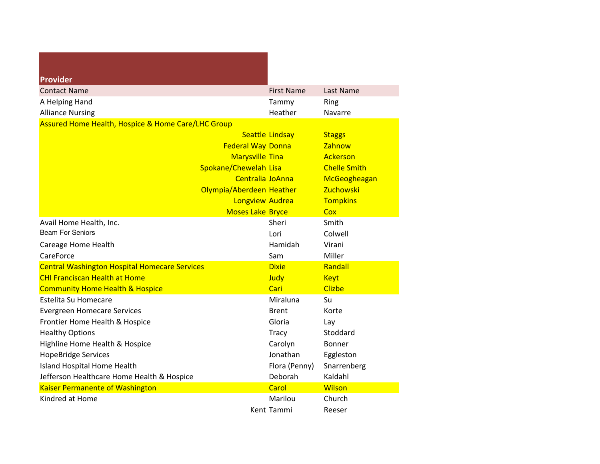| Provider                                             |                        |                     |
|------------------------------------------------------|------------------------|---------------------|
| <b>Contact Name</b>                                  | <b>First Name</b>      | Last Name           |
| A Helping Hand                                       | Tammy                  | Ring                |
| <b>Alliance Nursing</b>                              | Heather                | Navarre             |
| Assured Home Health, Hospice & Home Care/LHC Group   |                        |                     |
|                                                      | <b>Seattle Lindsay</b> | <b>Staggs</b>       |
| <b>Federal Way Donna</b>                             |                        | Zahnow              |
| <b>Marysville Tina</b>                               |                        | Ackerson            |
| Spokane/Chewelah Lisa                                |                        | <b>Chelle Smith</b> |
| Centralia JoAnna                                     |                        | McGeogheagan        |
| Olympia/Aberdeen Heather                             |                        | Zuchowski           |
| <b>Longview Audrea</b>                               |                        | <b>Tompkins</b>     |
| <b>Moses Lake Bryce</b>                              |                        | Cox                 |
| Avail Home Health, Inc.                              | Sheri                  | Smith               |
| <b>Beam For Seniors</b>                              | Lori                   | Colwell             |
| Careage Home Health                                  | Hamidah                | Virani              |
| CareForce                                            | Sam                    | Miller              |
| <b>Central Washington Hospital Homecare Services</b> | <b>Dixie</b>           | Randall             |
| <b>CHI Franciscan Health at Home</b>                 | Judy                   | <b>Keyt</b>         |
| <b>Community Home Health &amp; Hospice</b>           | Cari                   | <b>Clizbe</b>       |
| <b>Estelita Su Homecare</b>                          | Miraluna               | Su                  |
| <b>Evergreen Homecare Services</b>                   | <b>Brent</b>           | Korte               |
| Frontier Home Health & Hospice                       | Gloria                 | Lay                 |
| <b>Healthy Options</b>                               | <b>Tracy</b>           | Stoddard            |
| Highline Home Health & Hospice                       | Carolyn                | <b>Bonner</b>       |
| <b>HopeBridge Services</b>                           | Jonathan               | Eggleston           |
| Island Hospital Home Health                          | Flora (Penny)          | Snarrenberg         |
| Jefferson Healthcare Home Health & Hospice           | Deborah                | Kaldahl             |
| <b>Kaiser Permanente of Washington</b>               | Carol                  | <b>Wilson</b>       |
| Kindred at Home                                      | Marilou                | Church              |
|                                                      | Kent Tammi             | Reeser              |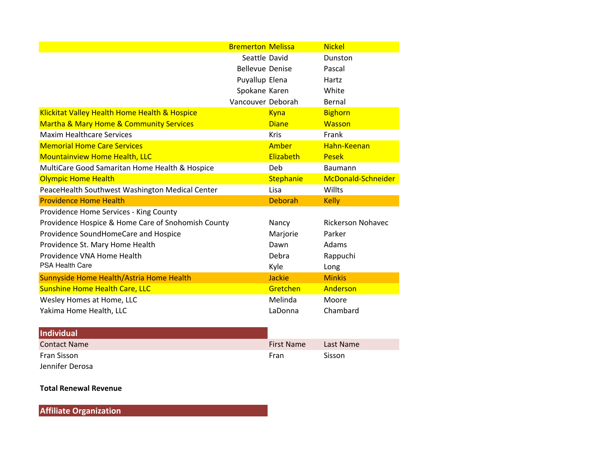|                                                        | <b>Bremerton Melissa</b> |                  | <b>Nickel</b>            |
|--------------------------------------------------------|--------------------------|------------------|--------------------------|
|                                                        | Seattle David            |                  | Dunston                  |
|                                                        | <b>Bellevue Denise</b>   |                  | Pascal                   |
|                                                        | Puyallup Elena           |                  | Hartz                    |
|                                                        | Spokane Karen            |                  | White                    |
|                                                        | Vancouver Deborah        |                  | Bernal                   |
| Klickitat Valley Health Home Health & Hospice          |                          | Kyna             | <b>Bighorn</b>           |
| <b>Martha &amp; Mary Home &amp; Community Services</b> |                          | <b>Diane</b>     | <b>Wasson</b>            |
| <b>Maxim Healthcare Services</b>                       |                          | <b>Kris</b>      | Frank                    |
| <b>Memorial Home Care Services</b>                     |                          | Amber            | Hahn-Keenan              |
| <b>Mountainview Home Health, LLC</b>                   |                          | Elizabeth        | <b>Pesek</b>             |
| MultiCare Good Samaritan Home Health & Hospice         |                          | Deb              | <b>Baumann</b>           |
| <b>Olympic Home Health</b>                             |                          | <b>Stephanie</b> | McDonald-Schneider       |
| PeaceHealth Southwest Washington Medical Center        |                          | Lisa             | Willts                   |
| <b>Providence Home Health</b>                          |                          | <b>Deborah</b>   | <b>Kelly</b>             |
| Providence Home Services - King County                 |                          |                  |                          |
| Providence Hospice & Home Care of Snohomish County     |                          | Nancy            | <b>Rickerson Nohavec</b> |
| Providence SoundHomeCare and Hospice                   |                          | Marjorie         | Parker                   |
| Providence St. Mary Home Health                        |                          | Dawn             | Adams                    |
| Providence VNA Home Health                             |                          | Debra            | Rappuchi                 |
| <b>PSA Health Care</b>                                 |                          | Kyle             | Long                     |
| Sunnyside Home Health/Astria Home Health               |                          | <b>Jackie</b>    | <b>Minkis</b>            |
| <b>Sunshine Home Health Care, LLC</b>                  |                          | Gretchen         | Anderson                 |
| Wesley Homes at Home, LLC                              |                          | Melinda          | Moore                    |
| Yakima Home Health, LLC                                |                          | LaDonna          | Chambard                 |

| Individual          |                   |           |
|---------------------|-------------------|-----------|
| <b>Contact Name</b> | <b>First Name</b> | Last Name |
| Fran Sisson         | Fran              | Sisson    |
| Jennifer Derosa     |                   |           |

### **Total Renewal Revenue**

**Affiliate Organization**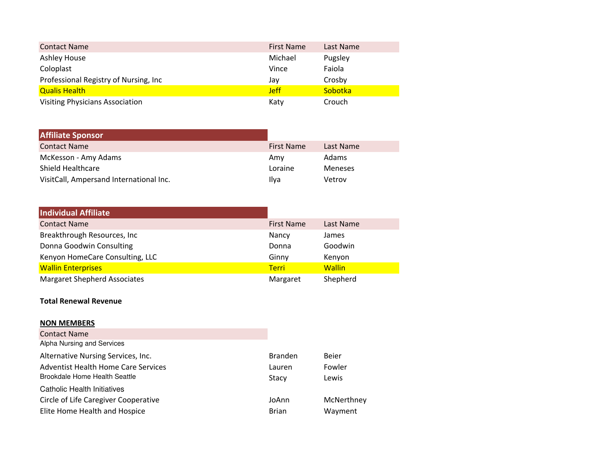| <b>Contact Name</b>                    | <b>First Name</b> | Last Name |
|----------------------------------------|-------------------|-----------|
| <b>Ashley House</b>                    | Michael           | Pugsley   |
| Coloplast                              | Vince             | Faiola    |
| Professional Registry of Nursing, Inc. | Jay               | Crosby    |
| <b>Qualis Health</b>                   | <b>Jeff</b>       | Sobotka   |
| <b>Visiting Physicians Association</b> | Katy              | Crouch    |

| <b>Affiliate Sponsor</b>                |                   |           |
|-----------------------------------------|-------------------|-----------|
| <b>Contact Name</b>                     | <b>First Name</b> | Last Name |
| McKesson - Amy Adams                    | Amy               | Adams     |
| Shield Healthcare                       | Loraine           | Meneses   |
| VisitCall, Ampersand International Inc. | Ilva              | Vetrov    |

| <b>Individual Affiliate</b>         |                   |               |
|-------------------------------------|-------------------|---------------|
| <b>Contact Name</b>                 | <b>First Name</b> | Last Name     |
| Breakthrough Resources, Inc.        | Nancy             | James         |
| Donna Goodwin Consulting            | Donna             | Goodwin       |
| Kenyon HomeCare Consulting, LLC     | Ginny             | Kenyon        |
| <b>Wallin Enterprises</b>           | <b>Terri</b>      | <b>Wallin</b> |
| <b>Margaret Shepherd Associates</b> | Margaret          | Shepherd      |

### **Total Renewal Revenue**

### **NON MEMBERS**

| <b>Contact Name</b>                  |                |            |
|--------------------------------------|----------------|------------|
| Alpha Nursing and Services           |                |            |
| Alternative Nursing Services, Inc.   | <b>Branden</b> | Beier      |
| Adventist Health Home Care Services  | Lauren         | Fowler     |
| Brookdale Home Health Seattle        | Stacy          | Lewis      |
| Catholic Health Initiatives          |                |            |
| Circle of Life Caregiver Cooperative | JoAnn          | McNerthney |
| Elite Home Health and Hospice        | <b>Brian</b>   | Wayment    |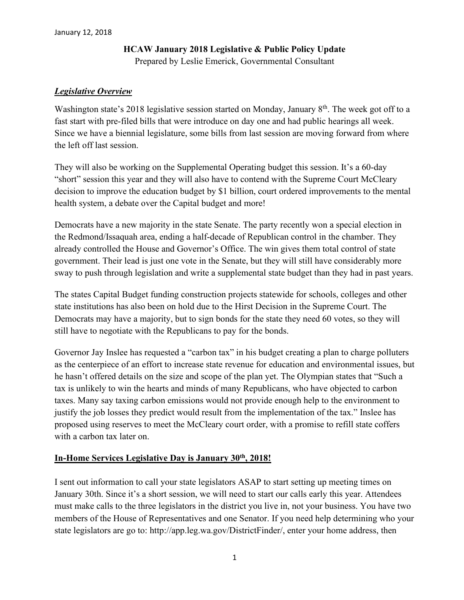## **HCAW January 2018 Legislative & Public Policy Update**

Prepared by Leslie Emerick, Governmental Consultant

### *Legislative Overview*

Washington state's 2018 legislative session started on Monday, January 8<sup>th</sup>. The week got off to a fast start with pre-filed bills that were introduce on day one and had public hearings all week. Since we have a biennial legislature, some bills from last session are moving forward from where the left off last session.

They will also be working on the Supplemental Operating budget this session. It's a 60-day "short" session this year and they will also have to contend with the Supreme Court McCleary decision to improve the education budget by \$1 billion, court ordered improvements to the mental health system, a debate over the Capital budget and more!

Democrats have a new majority in the state Senate. The party recently won a special election in the Redmond/Issaquah area, ending a half-decade of Republican control in the chamber. They already controlled the House and Governor's Office. The win gives them total control of state government. Their lead is just one vote in the Senate, but they will still have considerably more sway to push through legislation and write a supplemental state budget than they had in past years.

The states Capital Budget funding construction projects statewide for schools, colleges and other state institutions has also been on hold due to the Hirst Decision in the Supreme Court. The Democrats may have a majority, but to sign bonds for the state they need 60 votes, so they will still have to negotiate with the Republicans to pay for the bonds.

Governor Jay Inslee has requested a "carbon tax" in his budget creating a plan to charge polluters as the centerpiece of an effort to increase state revenue for education and environmental issues, but he hasn't offered details on the size and scope of the plan yet. The Olympian states that "Such a tax is unlikely to win the hearts and minds of many Republicans, who have objected to carbon taxes. Many say taxing carbon emissions would not provide enough help to the environment to justify the job losses they predict would result from the implementation of the tax." Inslee has proposed using reserves to meet the McCleary court order, with a promise to refill state coffers with a carbon tax later on.

## **In-Home Services Legislative Day is January 30th, 2018!**

I sent out information to call your state legislators ASAP to start setting up meeting times on January 30th. Since it's a short session, we will need to start our calls early this year. Attendees must make calls to the three legislators in the district you live in, not your business. You have two members of the House of Representatives and one Senator. If you need help determining who your state legislators are go to: http://app.leg.wa.gov/DistrictFinder/, enter your home address, then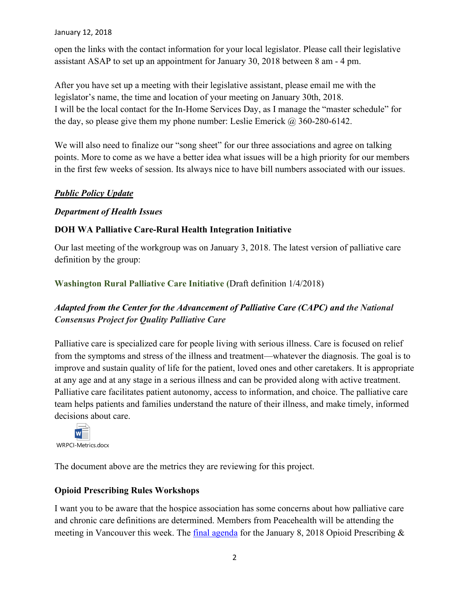open the links with the contact information for your local legislator. Please call their legislative assistant ASAP to set up an appointment for January 30, 2018 between 8 am - 4 pm.

After you have set up a meeting with their legislative assistant, please email me with the legislator's name, the time and location of your meeting on January 30th, 2018. I will be the local contact for the In-Home Services Day, as I manage the "master schedule" for the day, so please give them my phone number: Leslie Emerick  $\omega$  360-280-6142.

We will also need to finalize our "song sheet" for our three associations and agree on talking points. More to come as we have a better idea what issues will be a high priority for our members in the first few weeks of session. Its always nice to have bill numbers associated with our issues.

## *Public Policy Update*

### *Department of Health Issues*

## **DOH WA Palliative Care-Rural Health Integration Initiative**

Our last meeting of the workgroup was on January 3, 2018. The latest version of palliative care definition by the group:

**Washington Rural Palliative Care Initiative (**Draft definition 1/4/2018)

## *Adapted from the Center for the Advancement of Palliative Care (CAPC) and the National Consensus Project for Quality Palliative Care*

Palliative care is specialized care for people living with serious illness. Care is focused on relief from the symptoms and stress of the illness and treatment—whatever the diagnosis. The goal is to improve and sustain quality of life for the patient, loved ones and other caretakers. It is appropriate at any age and at any stage in a serious illness and can be provided along with active treatment. Palliative care facilitates patient autonomy, access to information, and choice. The palliative care team helps patients and families understand the nature of their illness, and make timely, informed decisions about care.



The document above are the metrics they are reviewing for this project.

## **Opioid Prescribing Rules Workshops**

I want you to be aware that the hospice association has some concerns about how palliative care and chronic care definitions are determined. Members from Peacehealth will be attending the meeting in Vancouver this week. The [final agenda](http://links.govdelivery.com/track?type=click&enid=ZWFzPTEmbXNpZD0mYXVpZD0mbWFpbGluZ2lkPTIwMTgwMTA1LjgzMjQwMDExJm1lc3NhZ2VpZD1NREItUFJELUJVTC0yMDE4MDEwNS44MzI0MDAxMSZkYXRhYmFzZWlkPTEwMDEmc2VyaWFsPTE3MDI2MDMyJmVtYWlsaWQ9bGVzZW1lcmlja0Bsa2VtZXJpY2suY29tJnVzZXJpZD1sZXNlbWVyaWNrQGxrZW1lcmljay5jb20mdGFyZ2V0aWQ9JmZsPSZleHRyYT1NdWx0aXZhcmlhdGVJZD0mJiY=&&&100&&&https://www.doh.wa.gov/Portals/1/Documents/Mtgs/2018/AG-20180108-Opioid-1427.pdf) for the January 8, 2018 Opioid Prescribing  $\&$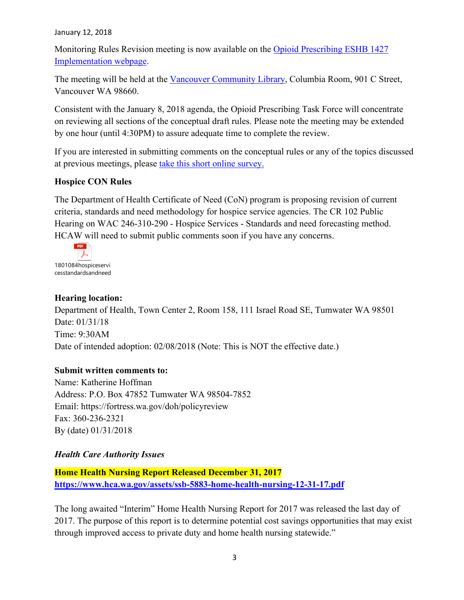Monitoring Rules Revision meeting is now available on the [Opioid Prescribing ESHB 1427](http://links.govdelivery.com/track?type=click&enid=ZWFzPTEmbXNpZD0mYXVpZD0mbWFpbGluZ2lkPTIwMTgwMTA1LjgzMjQwMDExJm1lc3NhZ2VpZD1NREItUFJELUJVTC0yMDE4MDEwNS44MzI0MDAxMSZkYXRhYmFzZWlkPTEwMDEmc2VyaWFsPTE3MDI2MDMyJmVtYWlsaWQ9bGVzZW1lcmlja0Bsa2VtZXJpY2suY29tJnVzZXJpZD1sZXNlbWVyaWNrQGxrZW1lcmljay5jb20mdGFyZ2V0aWQ9JmZsPSZleHRyYT1NdWx0aXZhcmlhdGVJZD0mJiY=&&&101&&&https://www.doh.wa.gov/ForPublicHealthandHealthcareProviders/HealthcareProfessionsandFacilities/OpioidPrescribing/ESHB1427Implementation)  [Implementation webpage.](http://links.govdelivery.com/track?type=click&enid=ZWFzPTEmbXNpZD0mYXVpZD0mbWFpbGluZ2lkPTIwMTgwMTA1LjgzMjQwMDExJm1lc3NhZ2VpZD1NREItUFJELUJVTC0yMDE4MDEwNS44MzI0MDAxMSZkYXRhYmFzZWlkPTEwMDEmc2VyaWFsPTE3MDI2MDMyJmVtYWlsaWQ9bGVzZW1lcmlja0Bsa2VtZXJpY2suY29tJnVzZXJpZD1sZXNlbWVyaWNrQGxrZW1lcmljay5jb20mdGFyZ2V0aWQ9JmZsPSZleHRyYT1NdWx0aXZhcmlhdGVJZD0mJiY=&&&101&&&https://www.doh.wa.gov/ForPublicHealthandHealthcareProviders/HealthcareProfessionsandFacilities/OpioidPrescribing/ESHB1427Implementation)

The meeting will be held at the [Vancouver Community Library,](http://links.govdelivery.com/track?type=click&enid=ZWFzPTEmbXNpZD0mYXVpZD0mbWFpbGluZ2lkPTIwMTgwMTA1LjgzMjQwMDExJm1lc3NhZ2VpZD1NREItUFJELUJVTC0yMDE4MDEwNS44MzI0MDAxMSZkYXRhYmFzZWlkPTEwMDEmc2VyaWFsPTE3MDI2MDMyJmVtYWlsaWQ9bGVzZW1lcmlja0Bsa2VtZXJpY2suY29tJnVzZXJpZD1sZXNlbWVyaWNrQGxrZW1lcmljay5jb20mdGFyZ2V0aWQ9JmZsPSZleHRyYT1NdWx0aXZhcmlhdGVJZD0mJiY=&&&102&&&http://www.fvrl.org/loc/va) Columbia Room, 901 C Street, Vancouver WA 98660.

Consistent with the January 8, 2018 agenda, the Opioid Prescribing Task Force will concentrate on reviewing all sections of the conceptual draft rules. Please note the meeting may be extended by one hour (until 4:30PM) to assure adequate time to complete the review.

If you are interested in submitting comments on the conceptual rules or any of the topics discussed at previous meetings, please [take this short online survey.](http://links.govdelivery.com/track?type=click&enid=ZWFzPTEmbXNpZD0mYXVpZD0mbWFpbGluZ2lkPTIwMTgwMTA1LjgzMjQwMDExJm1lc3NhZ2VpZD1NREItUFJELUJVTC0yMDE4MDEwNS44MzI0MDAxMSZkYXRhYmFzZWlkPTEwMDEmc2VyaWFsPTE3MDI2MDMyJmVtYWlsaWQ9bGVzZW1lcmlja0Bsa2VtZXJpY2suY29tJnVzZXJpZD1sZXNlbWVyaWNrQGxrZW1lcmljay5jb20mdGFyZ2V0aWQ9JmZsPSZleHRyYT1NdWx0aXZhcmlhdGVJZD0mJiY=&&&103&&&https://fortress.wa.gov/doh/opinio/s?s=OpioidPrescribing) 

## **Hospice CON Rules**

The Department of Health Certificate of Need (CoN) program is proposing revision of current criteria, standards and need methodology for hospice service agencies. The CR 102 Public Hearing on WAC 246-310-290 - Hospice Services - Standards and need forecasting method. HCAW will need to submit public comments soon if you have any concerns.



### **Hearing location:**

Department of Health, Town Center 2, Room 158, 111 Israel Road SE, Tumwater WA 98501 Date: 01/31/18 Time: 9:30AM Date of intended adoption: 02/08/2018 (Note: This is NOT the effective date.)

### **Submit written comments to:**

Name: Katherine Hoffman Address: P.O. Box 47852 Tumwater WA 98504-7852 Email: https://fortress.wa.gov/doh/policyreview Fax: 360-236-2321 By (date) 01/31/2018

## *Health Care Authority Issues*

**Home Health Nursing Report Released December 31, 2017 <https://www.hca.wa.gov/assets/ssb-5883-home-health-nursing-12-31-17.pdf>**

The long awaited "Interim" Home Health Nursing Report for 2017 was released the last day of 2017. The purpose of this report is to determine potential cost savings opportunities that may exist through improved access to private duty and home health nursing statewide."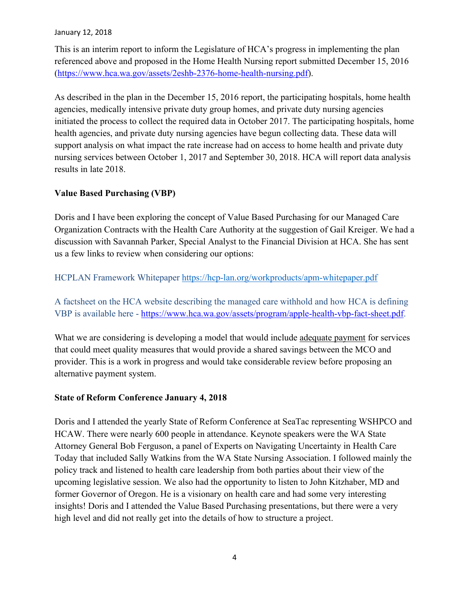This is an interim report to inform the Legislature of HCA's progress in implementing the plan referenced above and proposed in the Home Health Nursing report submitted December 15, 2016 [\(https://www.hca.wa.gov/assets/2eshb-2376-home-health-nursing.pdf\)](https://www.hca.wa.gov/assets/2eshb-2376-home-health-nursing.pdf).

As described in the plan in the December 15, 2016 report, the participating hospitals, home health agencies, medically intensive private duty group homes, and private duty nursing agencies initiated the process to collect the required data in October 2017. The participating hospitals, home health agencies, and private duty nursing agencies have begun collecting data. These data will support analysis on what impact the rate increase had on access to home health and private duty nursing services between October 1, 2017 and September 30, 2018. HCA will report data analysis results in late 2018.

## **Value Based Purchasing (VBP)**

Doris and I have been exploring the concept of Value Based Purchasing for our Managed Care Organization Contracts with the Health Care Authority at the suggestion of Gail Kreiger. We had a discussion with Savannah Parker, Special Analyst to the Financial Division at HCA. She has sent us a few links to review when considering our options:

## HCPLAN Framework Whitepaper<https://hcp-lan.org/workproducts/apm-whitepaper.pdf>

A factsheet on the HCA website describing the managed care withhold and how HCA is defining VBP is available here - [https://www.hca.wa.gov/assets/program/apple-health-vbp-fact-sheet.pdf.](https://www.hca.wa.gov/assets/program/apple-health-vbp-fact-sheet.pdf)

What we are considering is developing a model that would include adequate payment for services that could meet quality measures that would provide a shared savings between the MCO and provider. This is a work in progress and would take considerable review before proposing an alternative payment system.

## **State of Reform Conference January 4, 2018**

Doris and I attended the yearly State of Reform Conference at SeaTac representing WSHPCO and HCAW. There were nearly 600 people in attendance. Keynote speakers were the WA State Attorney General Bob Ferguson, a panel of Experts on Navigating Uncertainty in Health Care Today that included Sally Watkins from the WA State Nursing Association. I followed mainly the policy track and listened to health care leadership from both parties about their view of the upcoming legislative session. We also had the opportunity to listen to John Kitzhaber, MD and former Governor of Oregon. He is a visionary on health care and had some very interesting insights! Doris and I attended the Value Based Purchasing presentations, but there were a very high level and did not really get into the details of how to structure a project.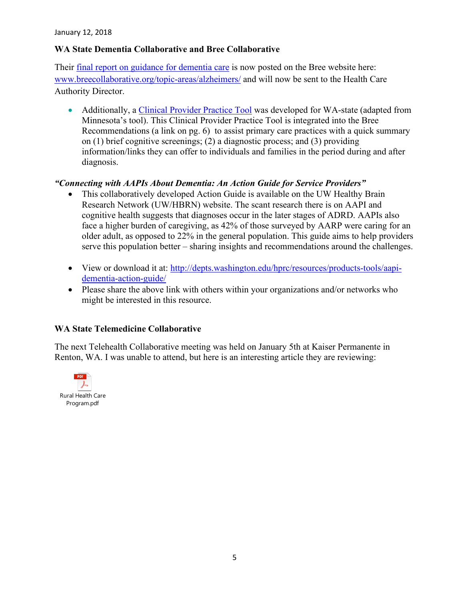### **WA State Dementia Collaborative and Bree Collaborative**

Their [final report on guidance for dementia care](http://www.breecollaborative.org/topic-areas/alzheimers/) is now posted on the Bree website here: [www.breecollaborative.org/topic-areas/alzheimers/](http://www.breecollaborative.org/topic-areas/alzheimers/) and will now be sent to the Health Care Authority Director.

• Additionally, a [Clinical Provider Practice Tool](https://www.dshs.wa.gov/sites/default/files/ALTSA/stakeholders/documents/AD/DAC-Clinical%20Provider%20Practice%20Tool.pdf) was developed for WA-state (adapted from Minnesota's tool). This Clinical Provider Practice Tool is integrated into the Bree Recommendations (a link on pg. 6) to assist primary care practices with a quick summary on (1) brief cognitive screenings; (2) a diagnostic process; and (3) providing information/links they can offer to individuals and families in the period during and after diagnosis.

## *"Connecting with AAPIs About Dementia: An Action Guide for Service Providers"*

- This collaboratively developed Action Guide is available on the UW Healthy Brain Research Network (UW/HBRN) website. The scant research there is on AAPI and cognitive health suggests that diagnoses occur in the later stages of ADRD. AAPIs also face a higher burden of caregiving, as 42% of those surveyed by AARP were caring for an older adult, as opposed to 22% in the general population. This guide aims to help providers serve this population better – sharing insights and recommendations around the challenges.
- View or download it at: [http://depts.washington.edu/hprc/resources/products-tools/aapi](http://depts.washington.edu/hprc/resources/products-tools/aapi-dementia-action-guide/)[dementia-action-guide/](http://depts.washington.edu/hprc/resources/products-tools/aapi-dementia-action-guide/)
- Please share the above link with others within your organizations and/or networks who might be interested in this resource.

### **WA State Telemedicine Collaborative**

The next Telehealth Collaborative meeting was held on January 5th at Kaiser Permanente in Renton, WA. I was unable to attend, but here is an interesting article they are reviewing:

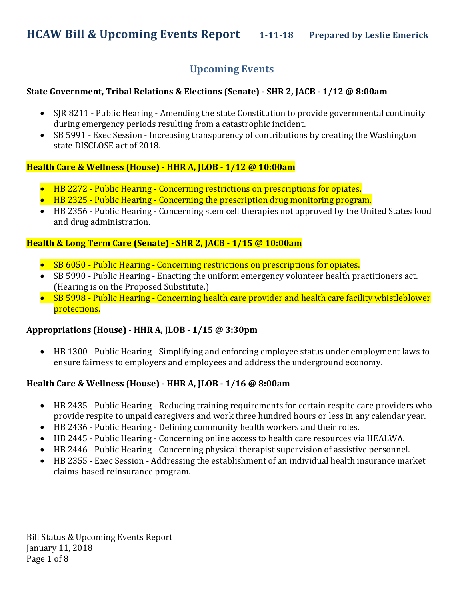# **Upcoming Events**

## **State Government, Tribal Relations & Elections (Senate) - SHR 2, JACB - 1/12 @ 8:00am**

- SJR 8211 Public Hearing Amending the state Constitution to provide governmental continuity during emergency periods resulting from a catastrophic incident.
- SB 5991 Exec Session Increasing transparency of contributions by creating the Washington state DISCLOSE act of 2018.

### **Health Care & Wellness (House) - HHR A, JLOB - 1/12 @ 10:00am**

- HB 2272 Public Hearing Concerning restrictions on prescriptions for opiates.
- HB 2325 Public Hearing Concerning the prescription drug monitoring program.
- HB 2356 Public Hearing Concerning stem cell therapies not approved by the United States food and drug administration.

### **Health & Long Term Care (Senate) - SHR 2, JACB - 1/15 @ 10:00am**

- SB 6050 Public Hearing Concerning restrictions on prescriptions for opiates.
- SB 5990 Public Hearing Enacting the uniform emergency volunteer health practitioners act. (Hearing is on the Proposed Substitute.)
- SB 5998 Public Hearing Concerning health care provider and health care facility whistleblower protections.

## **Appropriations (House) - HHR A, JLOB - 1/15 @ 3:30pm**

• HB 1300 - Public Hearing - Simplifying and enforcing employee status under employment laws to ensure fairness to employers and employees and address the underground economy.

## **Health Care & Wellness (House) - HHR A, JLOB - 1/16 @ 8:00am**

- HB 2435 Public Hearing Reducing training requirements for certain respite care providers who provide respite to unpaid caregivers and work three hundred hours or less in any calendar year.
- HB 2436 Public Hearing Defining community health workers and their roles.
- HB 2445 Public Hearing Concerning online access to health care resources via HEALWA.
- HB 2446 Public Hearing Concerning physical therapist supervision of assistive personnel.
- HB 2355 Exec Session Addressing the establishment of an individual health insurance market claims-based reinsurance program.

Bill Status & Upcoming Events Report January 11, 2018 Page 1 of 8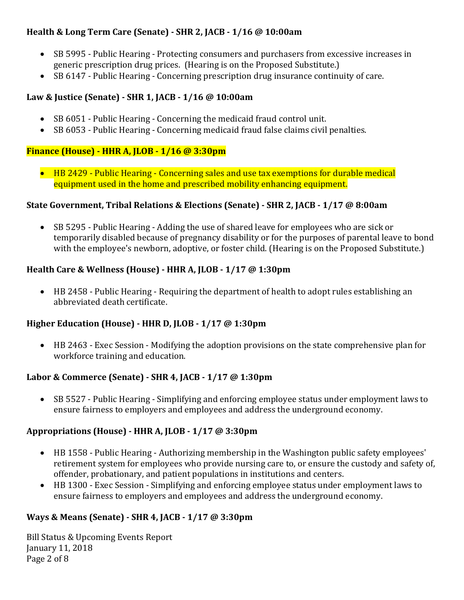## **Health & Long Term Care (Senate) - SHR 2, JACB - 1/16 @ 10:00am**

- SB 5995 Public Hearing Protecting consumers and purchasers from excessive increases in generic prescription drug prices. (Hearing is on the Proposed Substitute.)
- SB 6147 Public Hearing Concerning prescription drug insurance continuity of care.

## **Law & Justice (Senate) - SHR 1, JACB - 1/16 @ 10:00am**

- SB 6051 Public Hearing Concerning the medicaid fraud control unit.
- SB 6053 Public Hearing Concerning medicaid fraud false claims civil penalties.

## **Finance (House) - HHR A, JLOB - 1/16 @ 3:30pm**

• HB 2429 - Public Hearing - Concerning sales and use tax exemptions for durable medical equipment used in the home and prescribed mobility enhancing equipment.

## **State Government, Tribal Relations & Elections (Senate) - SHR 2, JACB - 1/17 @ 8:00am**

• SB 5295 - Public Hearing - Adding the use of shared leave for employees who are sick or temporarily disabled because of pregnancy disability or for the purposes of parental leave to bond with the employee's newborn, adoptive, or foster child. (Hearing is on the Proposed Substitute.)

## **Health Care & Wellness (House) - HHR A, JLOB - 1/17 @ 1:30pm**

• HB 2458 - Public Hearing - Requiring the department of health to adopt rules establishing an abbreviated death certificate.

## **Higher Education (House) - HHR D, JLOB - 1/17 @ 1:30pm**

• HB 2463 - Exec Session - Modifying the adoption provisions on the state comprehensive plan for workforce training and education.

## **Labor & Commerce (Senate) - SHR 4, JACB - 1/17 @ 1:30pm**

• SB 5527 - Public Hearing - Simplifying and enforcing employee status under employment laws to ensure fairness to employers and employees and address the underground economy.

## **Appropriations (House) - HHR A, JLOB - 1/17 @ 3:30pm**

- HB 1558 Public Hearing Authorizing membership in the Washington public safety employees' retirement system for employees who provide nursing care to, or ensure the custody and safety of, offender, probationary, and patient populations in institutions and centers.
- HB 1300 Exec Session Simplifying and enforcing employee status under employment laws to ensure fairness to employers and employees and address the underground economy.

## **Ways & Means (Senate) - SHR 4, JACB - 1/17 @ 3:30pm**

Bill Status & Upcoming Events Report January 11, 2018 Page 2 of 8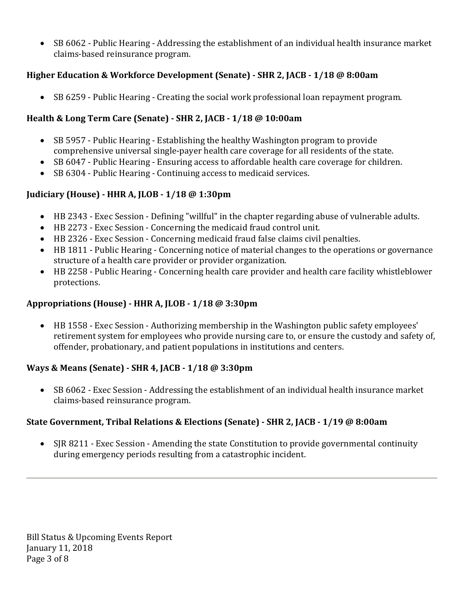• SB 6062 - Public Hearing - Addressing the establishment of an individual health insurance market claims-based reinsurance program.

# **Higher Education & Workforce Development (Senate) - SHR 2, JACB - 1/18 @ 8:00am**

• SB 6259 - Public Hearing - Creating the social work professional loan repayment program.

# **Health & Long Term Care (Senate) - SHR 2, JACB - 1/18 @ 10:00am**

- SB 5957 Public Hearing Establishing the healthy Washington program to provide comprehensive universal single-payer health care coverage for all residents of the state.
- SB 6047 Public Hearing Ensuring access to affordable health care coverage for children.
- SB 6304 Public Hearing Continuing access to medicaid services.

# **Judiciary (House) - HHR A, JLOB - 1/18 @ 1:30pm**

- HB 2343 Exec Session Defining "willful" in the chapter regarding abuse of vulnerable adults.
- HB 2273 Exec Session Concerning the medicaid fraud control unit.
- HB 2326 Exec Session Concerning medicaid fraud false claims civil penalties.
- HB 1811 Public Hearing Concerning notice of material changes to the operations or governance structure of a health care provider or provider organization.
- HB 2258 Public Hearing Concerning health care provider and health care facility whistleblower protections.

# **Appropriations (House) - HHR A, JLOB - 1/18 @ 3:30pm**

• HB 1558 - Exec Session - Authorizing membership in the Washington public safety employees' retirement system for employees who provide nursing care to, or ensure the custody and safety of, offender, probationary, and patient populations in institutions and centers.

# **Ways & Means (Senate) - SHR 4, JACB - 1/18 @ 3:30pm**

• SB 6062 - Exec Session - Addressing the establishment of an individual health insurance market claims-based reinsurance program.

# **State Government, Tribal Relations & Elections (Senate) - SHR 2, JACB - 1/19 @ 8:00am**

• SJR 8211 - Exec Session - Amending the state Constitution to provide governmental continuity during emergency periods resulting from a catastrophic incident.

Bill Status & Upcoming Events Report January 11, 2018 Page 3 of 8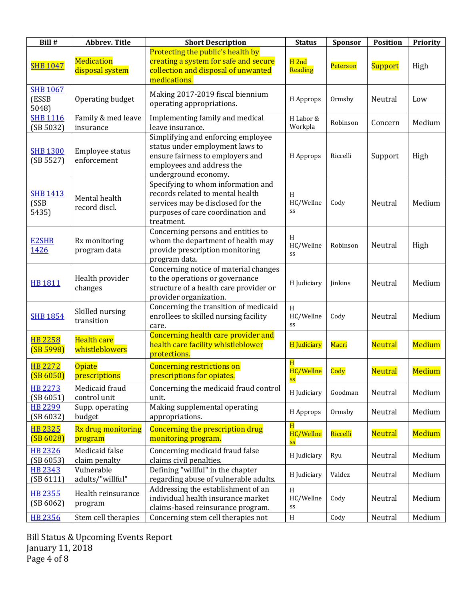| Bill #                            | <b>Abbrev. Title</b>                 | <b>Short Description</b>                                                                                                                                       | <b>Status</b>                            | Sponsor  | <b>Position</b> | Priority      |
|-----------------------------------|--------------------------------------|----------------------------------------------------------------------------------------------------------------------------------------------------------------|------------------------------------------|----------|-----------------|---------------|
| <b>SHB 1047</b>                   | <b>Medication</b><br>disposal system | Protecting the public's health by<br>creating a system for safe and secure<br>collection and disposal of unwanted<br>medications.                              | $H$ 2nd<br>Reading                       | Peterson | <b>Support</b>  | High          |
| <b>SHB 1067</b><br>(ESSB<br>5048) | Operating budget                     | Making 2017-2019 fiscal biennium<br>operating appropriations.                                                                                                  | H Approps                                | Ormsby   | Neutral         | Low           |
| <b>SHB 1116</b><br>(SB 5032)      | Family & med leave<br>insurance      | Implementing family and medical<br>leave insurance.                                                                                                            | H Labor &<br>Workpla                     | Robinson | Concern         | Medium        |
| <b>SHB 1300</b><br>(SB 5527)      | Employee status<br>enforcement       | Simplifying and enforcing employee<br>status under employment laws to<br>ensure fairness to employers and<br>employees and address the<br>underground economy. | H Approps                                | Riccelli | Support         | High          |
| <b>SHB 1413</b><br>(SSB<br>5435)  | Mental health<br>record discl.       | Specifying to whom information and<br>records related to mental health<br>services may be disclosed for the<br>purposes of care coordination and<br>treatment. | H<br>HC/Wellne<br>SS                     | Cody     | Neutral         | Medium        |
| <b>E2SHB</b><br>1426              | Rx monitoring<br>program data        | Concerning persons and entities to<br>whom the department of health may<br>provide prescription monitoring<br>program data.                                    | H<br>HC/Wellne<br>SS                     | Robinson | Neutral         | High          |
| <b>HB 1811</b>                    | Health provider<br>changes           | Concerning notice of material changes<br>to the operations or governance<br>structure of a health care provider or<br>provider organization.                   | H Judiciary                              | Jinkins  | Neutral         | Medium        |
| <b>SHB 1854</b>                   | Skilled nursing<br>transition        | Concerning the transition of medicaid<br>enrollees to skilled nursing facility<br>care.                                                                        | $\,$ H<br>HC/Wellne<br>SS                | Cody     | Neutral         | Medium        |
| <b>HB 2258</b><br>(SB 5998)       | <b>Health care</b><br>whistleblowers | Concerning health care provider and<br>health care facility whistleblower<br>protections.                                                                      | <b>H</b> Judiciary                       | Macri    | <b>Neutral</b>  | <b>Medium</b> |
| <b>HB 2272</b><br>(SB 6050)       | Opiate<br>prescriptions              | <b>Concerning restrictions on</b><br>prescriptions for opiates.                                                                                                | H<br>HC/Wellne<br><mark>SS</mark>        | Cody     | <b>Neutral</b>  | Medium        |
| <b>HB 2273</b><br>(SB 6051)       | Medicaid fraud<br>control unit       | Concerning the medicaid fraud control<br>unit.                                                                                                                 | H Judiciary                              | Goodman  | Neutral         | Medium        |
| <b>HB 2299</b><br>(SB 6032)       | Supp. operating<br>budget            | Making supplemental operating<br>appropriations.                                                                                                               | H Approps                                | Ormsby   | Neutral         | Medium        |
| <b>HB 2325</b><br>(SB 6028)       | Rx drug monitoring<br>program        | Concerning the prescription drug<br>monitoring program.                                                                                                        | H<br>HC/Wellne<br>$\overline{\text{SS}}$ | Riccelli | <b>Neutral</b>  | Medium        |
| <b>HB 2326</b><br>(SB 6053)       | Medicaid false<br>claim penalty      | Concerning medicaid fraud false<br>claims civil penalties.                                                                                                     | H Judiciary                              | Ryu      | Neutral         | Medium        |
| <b>HB 2343</b><br>(SB 6111)       | Vulnerable<br>adults/"willful"       | Defining "willful" in the chapter<br>regarding abuse of vulnerable adults.                                                                                     | H Judiciary                              | Valdez   | Neutral         | Medium        |
| <b>HB 2355</b><br>(SB 6062)       | Health reinsurance<br>program        | Addressing the establishment of an<br>individual health insurance market<br>claims-based reinsurance program.                                                  | H<br>HC/Wellne<br>SS                     | Cody     | Neutral         | Medium        |
| <b>HB 2356</b>                    | Stem cell therapies                  | Concerning stem cell therapies not                                                                                                                             | H                                        | Cody     | Neutral         | Medium        |

Bill Status & Upcoming Events Report January 11, 2018 Page 4 of 8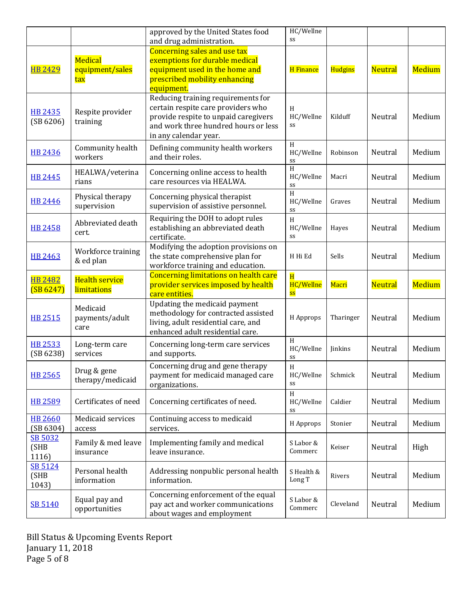|                                 |                                             | approved by the United States food                                                                                                                                                 | HC/Wellne                                  |           |                |               |
|---------------------------------|---------------------------------------------|------------------------------------------------------------------------------------------------------------------------------------------------------------------------------------|--------------------------------------------|-----------|----------------|---------------|
| <b>HB 2429</b>                  | <b>Medical</b><br>equipment/sales<br>tax    | and drug administration.<br><b>Concerning sales and use tax</b><br>exemptions for durable medical<br>equipment used in the home and<br>prescribed mobility enhancing<br>equipment. | SS<br><b>H</b> Finance                     | Hudgins   | <b>Neutral</b> | <b>Medium</b> |
| <b>HB 2435</b><br>(SB 6206)     | Respite provider<br>training                | Reducing training requirements for<br>certain respite care providers who<br>provide respite to unpaid caregivers<br>and work three hundred hours or less<br>in any calendar year.  | H<br>HC/Wellne<br>SS                       | Kilduff   | Neutral        | Medium        |
| <b>HB 2436</b>                  | Community health<br>workers                 | Defining community health workers<br>and their roles.                                                                                                                              | H<br>HC/Wellne<br>SS                       | Robinson  | Neutral        | Medium        |
| <b>HB 2445</b>                  | HEALWA/veterina<br>rians                    | Concerning online access to health<br>care resources via HEALWA.                                                                                                                   | H<br>HC/Wellne<br>SS                       | Macri     | Neutral        | Medium        |
| <b>HB 2446</b>                  | Physical therapy<br>supervision             | Concerning physical therapist<br>supervision of assistive personnel.                                                                                                               | $\overline{H}$<br>HC/Wellne<br>SS          | Graves    | Neutral        | Medium        |
| <b>HB 2458</b>                  | Abbreviated death<br>cert.                  | Requiring the DOH to adopt rules<br>establishing an abbreviated death<br>certificate.                                                                                              | H<br>HC/Wellne<br>SS                       | Hayes     | Neutral        | Medium        |
| <b>HB 2463</b>                  | Workforce training<br>& ed plan             | Modifying the adoption provisions on<br>the state comprehensive plan for<br>workforce training and education.                                                                      | H Hi Ed                                    | Sells     | Neutral        | Medium        |
| <b>HB 2482</b><br>(SB 6247)     | <b>Health service</b><br><b>limitations</b> | Concerning limitations on health care<br>provider services imposed by health<br>care entities.                                                                                     | $\overline{\mathbf{H}}$<br>HC/Wellne<br>SS | Macri     | <b>Neutral</b> | <b>Medium</b> |
| <b>HB 2515</b>                  | Medicaid<br>payments/adult<br>care          | Updating the medicaid payment<br>methodology for contracted assisted<br>living, adult residential care, and<br>enhanced adult residential care.                                    | H Approps                                  | Tharinger | Neutral        | Medium        |
| <b>HB 2533</b><br>(SB 6238)     | Long-term care<br>services                  | Concerning long-term care services<br>and supports.                                                                                                                                | H<br>HC/Wellne<br>SS                       | Jinkins   | Neutral        | Medium        |
| <b>HB 2565</b>                  | Drug & gene<br>therapy/medicaid             | Concerning drug and gene therapy<br>payment for medicaid managed care<br>organizations.                                                                                            | H<br>HC/Wellne<br>SS                       | Schmick   | Neutral        | Medium        |
| <b>HB 2589</b>                  | Certificates of need                        | Concerning certificates of need.                                                                                                                                                   | H<br>HC/Wellne<br>SS                       | Caldier   | Neutral        | Medium        |
| <b>HB 2660</b><br>(SB 6304)     | Medicaid services<br>access                 | Continuing access to medicaid<br>services.                                                                                                                                         | H Approps                                  | Stonier   | Neutral        | Medium        |
| SB 5032<br>(SHB<br>1116)        | Family & med leave<br>insurance             | Implementing family and medical<br>leave insurance.                                                                                                                                | S Labor &<br>Commerc                       | Keiser    | Neutral        | High          |
| <b>SB 5124</b><br>(SHB<br>1043) | Personal health<br>information              | Addressing nonpublic personal health<br>information.                                                                                                                               | S Health &<br>Long T                       | Rivers    | Neutral        | Medium        |
|                                 |                                             |                                                                                                                                                                                    |                                            |           |                |               |

Bill Status & Upcoming Events Report January 11, 2018 Page 5 of 8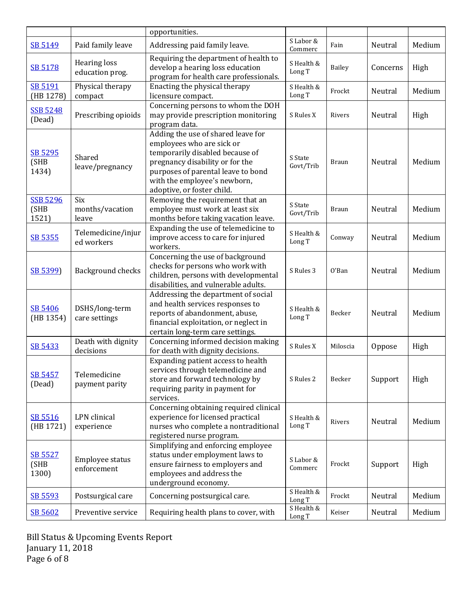|                                  |                                        | opportunities.                                                                                                                                                                                                                            |                      |              |          |        |
|----------------------------------|----------------------------------------|-------------------------------------------------------------------------------------------------------------------------------------------------------------------------------------------------------------------------------------------|----------------------|--------------|----------|--------|
| SB 5149                          | Paid family leave                      | Addressing paid family leave.                                                                                                                                                                                                             | S Labor &<br>Commerc | Fain         | Neutral  | Medium |
| SB 5178                          | <b>Hearing loss</b><br>education prog. | Requiring the department of health to<br>develop a hearing loss education<br>program for health care professionals.                                                                                                                       | S Health &<br>Long T | Bailey       | Concerns | High   |
| SB 5191<br>(HB 1278)             | Physical therapy<br>compact            | Enacting the physical therapy<br>licensure compact.                                                                                                                                                                                       | S Health &<br>Long T | Frockt       | Neutral  | Medium |
| <b>SSB 5248</b><br>(Dead)        | Prescribing opioids                    | Concerning persons to whom the DOH<br>may provide prescription monitoring<br>program data.                                                                                                                                                | S Rules X            | Rivers       | Neutral  | High   |
| SB 5295<br>(SHB<br>1434)         | Shared<br>leave/pregnancy              | Adding the use of shared leave for<br>employees who are sick or<br>temporarily disabled because of<br>pregnancy disability or for the<br>purposes of parental leave to bond<br>with the employee's newborn,<br>adoptive, or foster child. | S State<br>Govt/Trib | <b>Braun</b> | Neutral  | Medium |
| <b>SSB 5296</b><br>(SHB<br>1521) | Six<br>months/vacation<br>leave        | Removing the requirement that an<br>employee must work at least six<br>months before taking vacation leave.                                                                                                                               | S State<br>Govt/Trib | <b>Braun</b> | Neutral  | Medium |
| SB 5355                          | Telemedicine/injur<br>ed workers       | Expanding the use of telemedicine to<br>improve access to care for injured<br>workers.                                                                                                                                                    | S Health &<br>Long T | Conway       | Neutral  | Medium |
| SB 5399)                         | Background checks                      | Concerning the use of background<br>checks for persons who work with<br>children, persons with developmental<br>disabilities, and vulnerable adults.                                                                                      | S Rules 3            | 0'Ban        | Neutral  | Medium |
| SB 5406<br>(HB 1354)             | DSHS/long-term<br>care settings        | Addressing the department of social<br>and health services responses to<br>reports of abandonment, abuse,<br>financial exploitation, or neglect in<br>certain long-term care settings.                                                    | S Health &<br>Long T | Becker       | Neutral  | Medium |
| SB 5433                          | Death with dignity<br>decisions        | Concerning informed decision making<br>for death with dignity decisions.                                                                                                                                                                  | S Rules X            | Miloscia     | Oppose   | High   |
| SB 5457<br>(Dead)                | Telemedicine<br>payment parity         | Expanding patient access to health<br>services through telemedicine and<br>store and forward technology by<br>requiring parity in payment for<br>services.                                                                                | S Rules 2            | Becker       | Support  | High   |
| SB 5516<br>(HB 1721)             | LPN clinical<br>experience             | Concerning obtaining required clinical<br>experience for licensed practical<br>nurses who complete a nontraditional<br>registered nurse program.                                                                                          | S Health &<br>Long T | Rivers       | Neutral  | Medium |
| SB 5527<br>(SHB<br>1300)         | Employee status<br>enforcement         | Simplifying and enforcing employee<br>status under employment laws to<br>ensure fairness to employers and<br>employees and address the<br>underground economy.                                                                            | S Labor &<br>Commerc | Frockt       | Support  | High   |
| SB 5593                          | Postsurgical care                      | Concerning postsurgical care.                                                                                                                                                                                                             | S Health &<br>Long T | Frockt       | Neutral  | Medium |
| SB 5602                          | Preventive service                     | Requiring health plans to cover, with                                                                                                                                                                                                     | S Health &<br>Long T | Keiser       | Neutral  | Medium |

Bill Status & Upcoming Events Report January 11, 2018 Page 6 of 8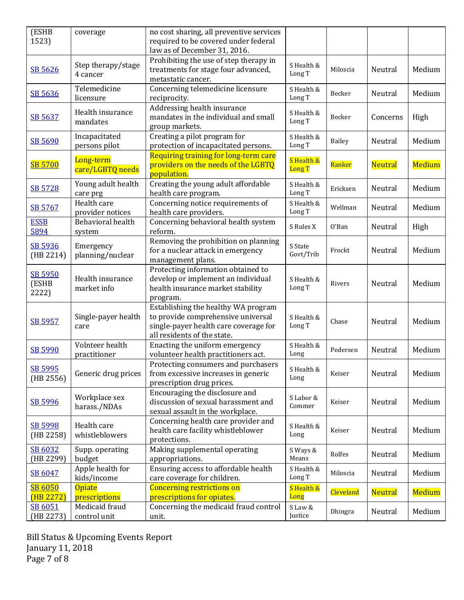| (ESHB<br>1523)                   | coverage                        | no cost sharing, all preventive services<br>required to be covered under federal<br>law as of December 31, 2016.                                  |                             |                  |                |               |
|----------------------------------|---------------------------------|---------------------------------------------------------------------------------------------------------------------------------------------------|-----------------------------|------------------|----------------|---------------|
| SB 5626                          | Step therapy/stage<br>4 cancer  | Prohibiting the use of step therapy in<br>treatments for stage four advanced,<br>metastatic cancer.                                               | S Health &<br>Long T        | Miloscia         | Neutral        | Medium        |
| SB 5636                          | Telemedicine<br>licensure       | Concerning telemedicine licensure<br>reciprocity.                                                                                                 | S Health &<br>Long T        | Becker           | Neutral        | Medium        |
| SB 5637                          | Health insurance<br>mandates    | Addressing health insurance<br>mandates in the individual and small<br>group markets.                                                             | S Health &<br>Long T        | Becker           | Concerns       | High          |
| SB 5690                          | Incapacitated<br>persons pilot  | Creating a pilot program for<br>protection of incapacitated persons.                                                                              | S Health &<br>Long T        | Bailey           | Neutral        | Medium        |
| <b>SB 5700</b>                   | Long-term<br>care/LGBTQ needs   | Requiring training for long-term care<br>providers on the needs of the LGBTQ<br>population.                                                       | S Health &<br><b>Long T</b> | Ranker           | <b>Neutral</b> | <b>Medium</b> |
| SB 5728                          | Young adult health<br>care prg  | Creating the young adult affordable<br>health care program.                                                                                       | S Health &<br>Long T        | Ericksen         | Neutral        | Medium        |
| SB 5767                          | Health care<br>provider notices | Concerning notice requirements of<br>health care providers.                                                                                       | S Health &<br>Long T        | Wellman          | Neutral        | Medium        |
| <b>ESSB</b><br>5894              | Behavioral health<br>system     | Concerning behavioral health system<br>reform.                                                                                                    | S Rules X                   | 0'Ban            | Neutral        | High          |
| SB 5936<br>(HB 2214)             | Emergency<br>planning/nuclear   | Removing the prohibition on planning<br>for a nuclear attack in emergency<br>management plans.                                                    | S State<br>Govt/Trib        | Frockt           | Neutral        | Medium        |
| <b>SB 5950</b><br>(ESHB<br>2222) | Health insurance<br>market info | Protecting information obtained to<br>develop or implement an individual<br>health insurance market stability<br>program.                         | S Health &<br>Long T        | Rivers           | Neutral        | Medium        |
| SB 5957                          | Single-payer health<br>care     | Establishing the healthy WA program<br>to provide comprehensive universal<br>single-payer health care coverage for<br>all residents of the state. | S Health &<br>Long T        | Chase            | Neutral        | Medium        |
| SB 5990                          | Volnteer health<br>practitioner | Enacting the uniform emergency<br>volunteer health practitioners act.                                                                             | S Health &<br>Long          | Pedersen         | Neutral        | Medium        |
| SB 5995<br>(HB 2556)             | Generic drug prices             | Protecting consumers and purchasers<br>from excessive increases in generic<br>prescription drug prices.                                           | S Health &<br>Long          | Keiser           | Neutral        | Medium        |
| SB 5996                          | Workplace sex<br>harass./NDAs   | Encouraging the disclosure and<br>discussion of sexual harassment and<br>sexual assault in the workplace.                                         | S Labor &<br>Commer         | Keiser           | Neutral        | Medium        |
| SB 5998<br>(HB 2258)             | Health care<br>whistleblowers   | Concerning health care provider and<br>health care facility whistleblower<br>protections.                                                         | S Health &<br>Long          | Keiser           | Neutral        | Medium        |
| SB 6032<br>(HB 2299)             | Supp. operating<br>budget       | Making supplemental operating<br>appropriations.                                                                                                  | S Ways &<br>Means           | Rolfes           | Neutral        | Medium        |
| SB 6047                          | Apple health for<br>kids/income | Ensuring access to affordable health<br>care coverage for children.                                                                               | S Health &<br>Long T        | Miloscia         | Neutral        | Medium        |
| <b>SB 6050</b><br>(HB 2272)      | <b>Opiate</b><br>prescriptions  | <b>Concerning restrictions on</b><br>prescriptions for opiates.                                                                                   | S Health &<br>Long          | <b>Cleveland</b> | <b>Neutral</b> | <b>Medium</b> |
| SB 6051<br>(HB 2273)             | Medicaid fraud<br>control unit  | Concerning the medicaid fraud control<br>unit.                                                                                                    | S Law &<br>Justice          | Dhingra          | Neutral        | Medium        |

Bill Status & Upcoming Events Report January 11, 2018 Page 7 of 8